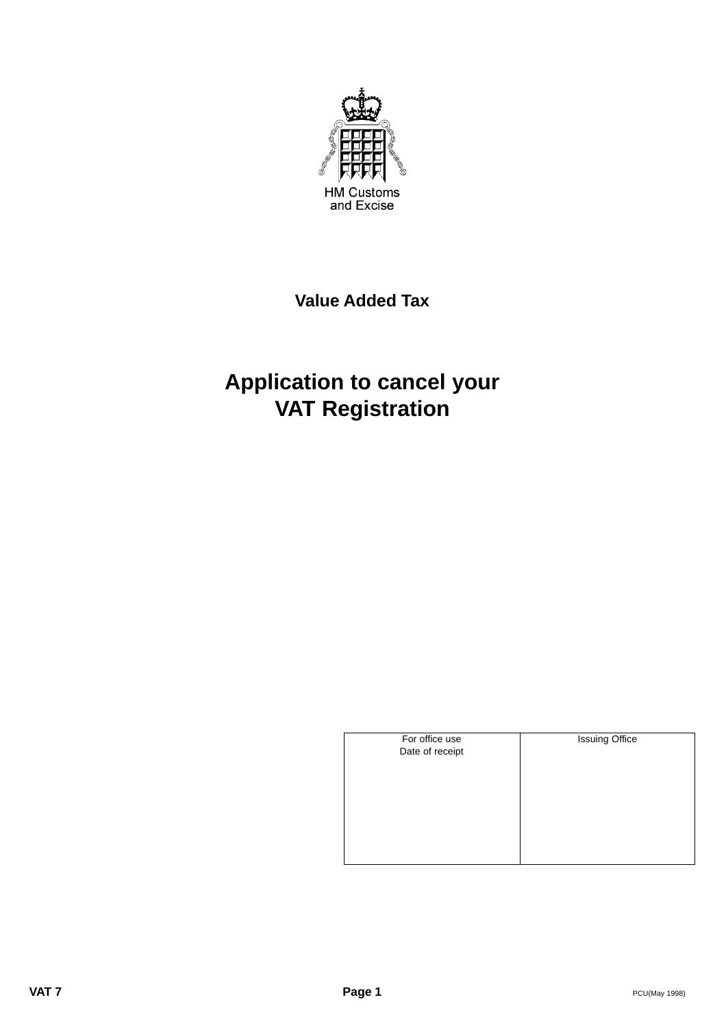

## **Value Added Tax**

# **Application to cancel your VAT Registration**

| For office use  | <b>Issuing Office</b> |
|-----------------|-----------------------|
| Date of receipt |                       |
|                 |                       |
|                 |                       |
|                 |                       |
|                 |                       |
|                 |                       |
|                 |                       |
|                 |                       |
|                 |                       |
|                 |                       |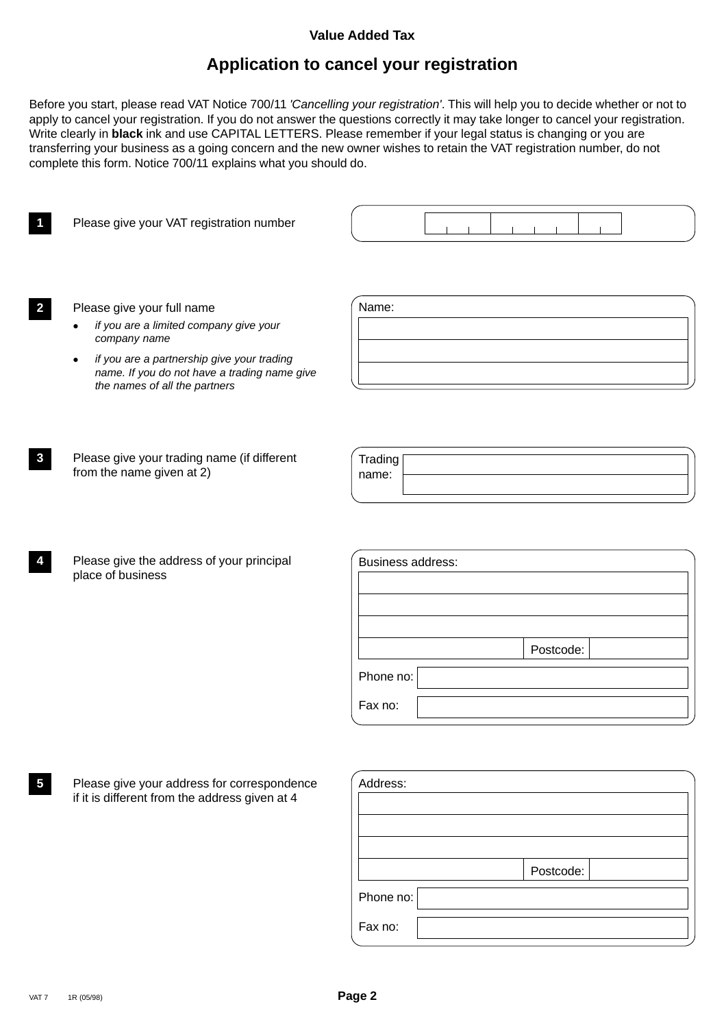#### **Value Added Tax**

### **Application to cancel your registration**

Before you start, please read VAT Notice 700/11 'Cancelling your registration'. This will help you to decide whether or not to apply to cancel your registration. If you do not answer the questions correctly it may take longer to cancel your registration. Write clearly in **black** ink and use CAPITAL LETTERS. Please remember if your legal status is changing or you are transferring your business as a going concern and the new owner wishes to retain the VAT registration number, do not complete this form. Notice 700/11 explains what you should do.

**1** Please give your VAT registration number **2** Please give your full name if you are a limited company give your company name if you are a partnership give your trading name. If you do not have a trading name give the names of all the partners **3** Please give your trading name (if different from the name given at 2) **4** Please give the address of your principal place of business **5** Please give your address for correspondence if it is different from the address given at 4 Name: **Trading** name: Business address: Postcode: Phone no: Fax no: Address:

|           | Postcode: |
|-----------|-----------|
| Phone no: |           |
| Fax no:   |           |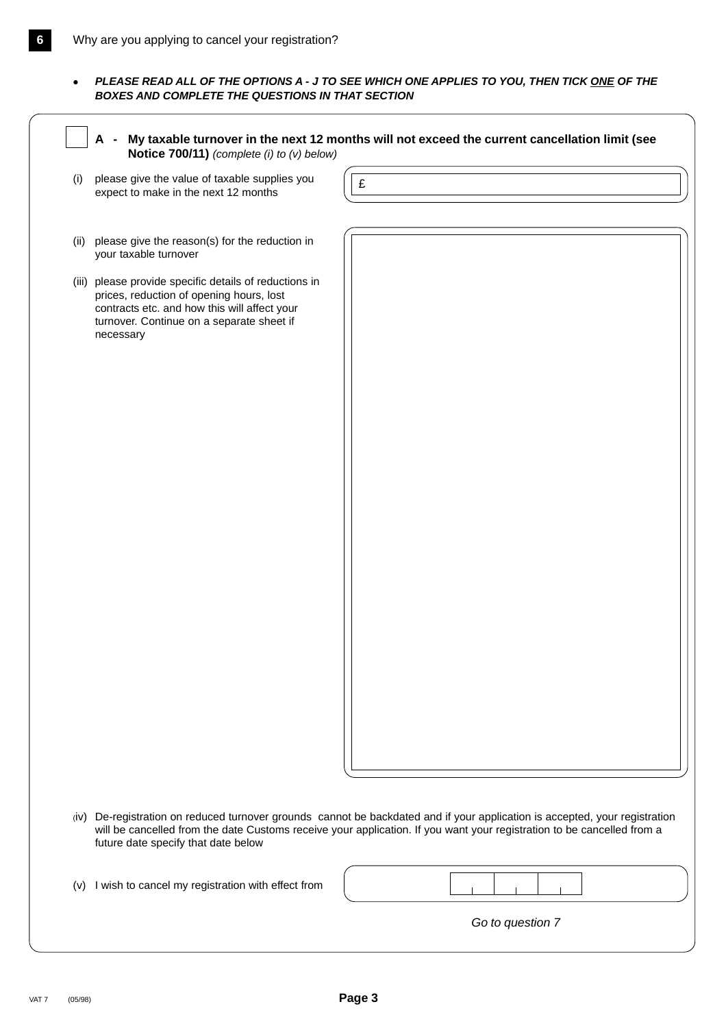**PLEASE READ ALL OF THE OPTIONS A - J TO SEE WHICH ONE APPLIES TO YOU, THEN TICK ONE OF THE BOXES AND COMPLETE THE QUESTIONS IN THAT SECTION**

| please give the value of taxable supplies you<br>expect to make in the next 12 months                                                                                                                        | £ |
|--------------------------------------------------------------------------------------------------------------------------------------------------------------------------------------------------------------|---|
|                                                                                                                                                                                                              |   |
| please give the reason(s) for the reduction in<br>your taxable turnover                                                                                                                                      |   |
| (iii) please provide specific details of reductions in<br>prices, reduction of opening hours, lost<br>contracts etc. and how this will affect your<br>turnover. Continue on a separate sheet if<br>necessary |   |
|                                                                                                                                                                                                              |   |
|                                                                                                                                                                                                              |   |
|                                                                                                                                                                                                              |   |
|                                                                                                                                                                                                              |   |
|                                                                                                                                                                                                              |   |
|                                                                                                                                                                                                              |   |
|                                                                                                                                                                                                              |   |
|                                                                                                                                                                                                              |   |
|                                                                                                                                                                                                              |   |
|                                                                                                                                                                                                              |   |
|                                                                                                                                                                                                              |   |
|                                                                                                                                                                                                              |   |

(iv) De-registration on reduced turnover grounds cannot be backdated and if your application is accepted, your registration will be cancelled from the date Customs receive your application. If you want your registration to be cancelled from a future date specify that date below

|  |  |  | (v) I wish to cancel my registration with effect from |
|--|--|--|-------------------------------------------------------|
|--|--|--|-------------------------------------------------------|

Go to question 7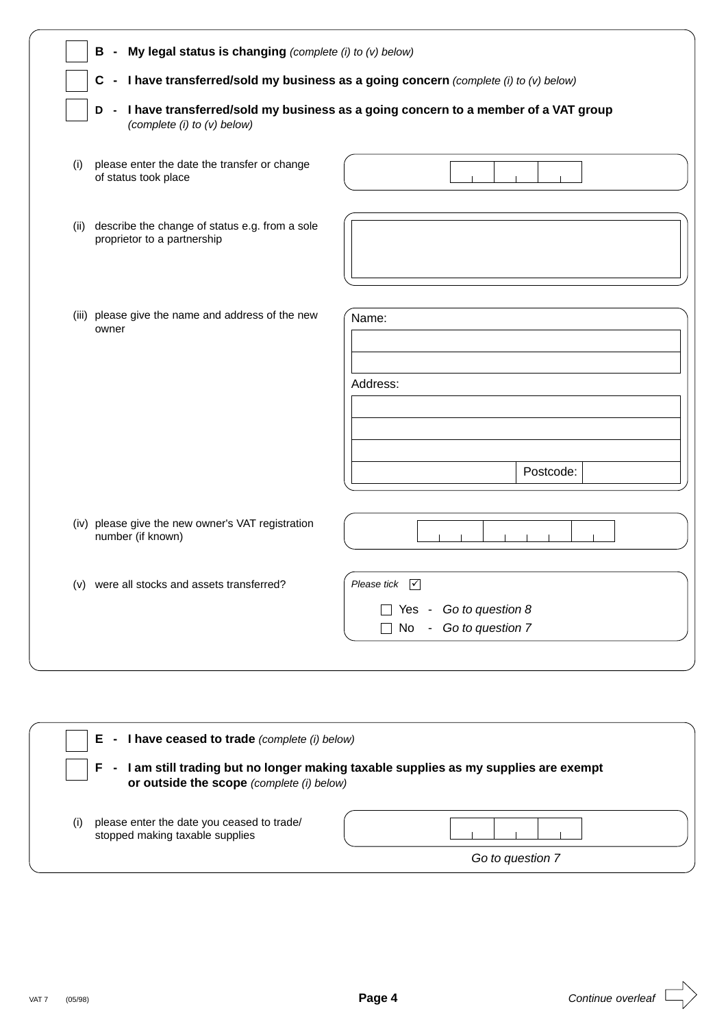|      | C.                                                                            | I have transferred/sold my business as a going concern (complete (i) to (v) below)  |
|------|-------------------------------------------------------------------------------|-------------------------------------------------------------------------------------|
|      | D<br>(complete (i) to (v) below)                                              | I have transferred/sold my business as a going concern to a member of a VAT group   |
| (i)  | please enter the date the transfer or change<br>of status took place          |                                                                                     |
| (ii) | describe the change of status e.g. from a sole<br>proprietor to a partnership |                                                                                     |
|      | (iii) please give the name and address of the new<br>owner                    | Name:                                                                               |
|      |                                                                               | Address:                                                                            |
|      |                                                                               | Postcode:                                                                           |
|      | (iv) please give the new owner's VAT registration<br>number (if known)        |                                                                                     |
|      | (v) were all stocks and assets transferred?                                   | Please tick $\boxed{\checkmark}$<br>Yes - Go to question 8<br>No - Go to question 7 |

|     | - I have ceased to trade (complete (i) below)<br>Е                            |                                                                                    |
|-----|-------------------------------------------------------------------------------|------------------------------------------------------------------------------------|
|     | or outside the scope (complete (i) below)                                     | I am still trading but no longer making taxable supplies as my supplies are exempt |
| (1) | please enter the date you ceased to trade/<br>stopped making taxable supplies |                                                                                    |
|     |                                                                               | Go to question 7                                                                   |

 $\Rightarrow$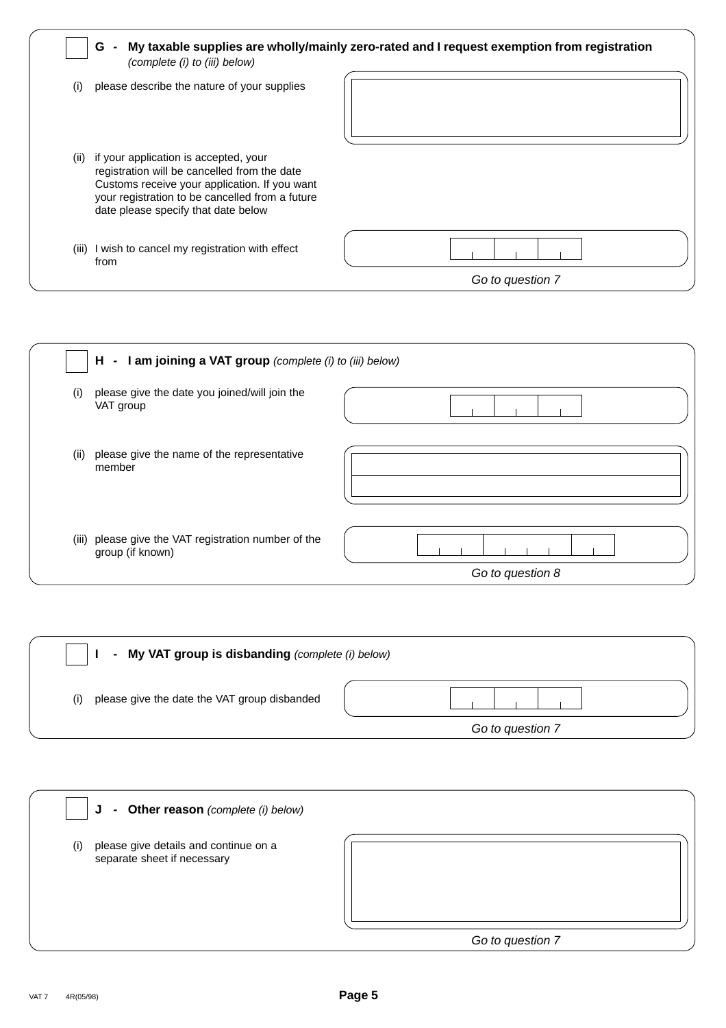|      | G<br>$\sim$<br>(complete (i) to (iii) below)                                                                                                                                                                                     | My taxable supplies are wholly/mainly zero-rated and I request exemption from registration |
|------|----------------------------------------------------------------------------------------------------------------------------------------------------------------------------------------------------------------------------------|--------------------------------------------------------------------------------------------|
| (i)  | please describe the nature of your supplies                                                                                                                                                                                      |                                                                                            |
| (ii) | if your application is accepted, your<br>registration will be cancelled from the date<br>Customs receive your application. If you want<br>your registration to be cancelled from a future<br>date please specify that date below |                                                                                            |
|      | (iii) I wish to cancel my registration with effect<br>from                                                                                                                                                                       |                                                                                            |
|      |                                                                                                                                                                                                                                  | Go to question 7                                                                           |

| $H - I$ am joining a VAT group (complete (i) to (iii) below)             |                  |
|--------------------------------------------------------------------------|------------------|
| please give the date you joined/will join the<br>(i)<br>VAT group        |                  |
| please give the name of the representative<br>(ii)<br>member             |                  |
| (iii) please give the VAT registration number of the<br>group (if known) | Go to question 8 |

| - My VAT group is disbanding (complete (i) below)   |                  |
|-----------------------------------------------------|------------------|
| please give the date the VAT group disbanded<br>(i) |                  |
|                                                     | Go to question 7 |

| - Other reason (complete (i) below)<br>J                                    |                  |
|-----------------------------------------------------------------------------|------------------|
| please give details and continue on a<br>(i)<br>separate sheet if necessary |                  |
|                                                                             | Go to question 7 |